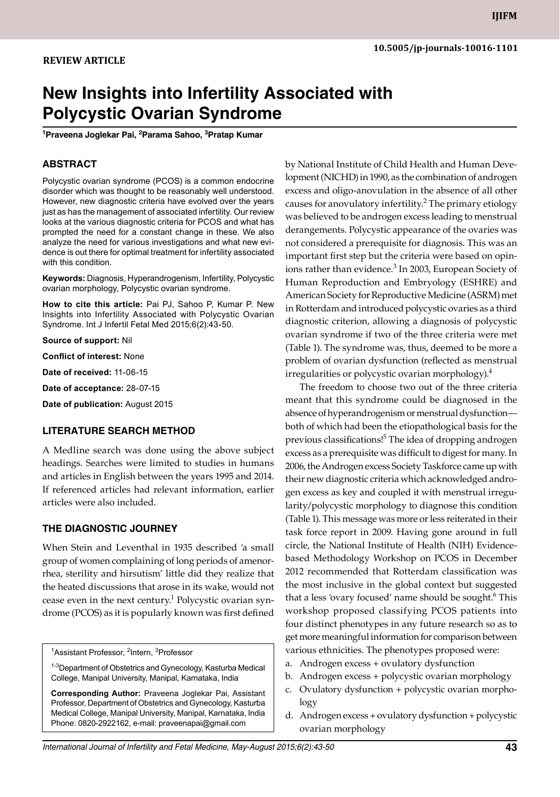# **New Insights into Infertility Associated with Polycystic Ovarian Syndrome**

<sup>1</sup>Praveena Joglekar Pai, <sup>2</sup>Parama Sahoo, <sup>3</sup>Pratap Kumar

# **ABSTRACT**

Polycystic ovarian syndrome (PCOS) is a common endocrine disorder which was thought to be reasonably well understood. However, new diagnostic criteria have evolved over the years just as has the management of associated infertility. Our review looks at the various diagnostic criteria for PCOS and what has prompted the need for a constant change in these. We also analyze the need for various investigations and what new evidence is out there for optimal treatment for infertility associated with this condition.

**Keywords: Diagnosis, Hyperandrogenism, Infertility, Polycystic** ovarian morphology, Polycystic ovarian syndrome.

**How to cite this article:** Pai PJ, Sahoo P, Kumar P. New Insights into Infertility Associated with Polycystic Ovarian Syndrome. Int J Infertil Fetal Med 2015;6(2):43-50.

**Source of support:** Nil

**Conflict of interest:** None

**Date of received:** 11-06-15

**Date of acceptance:** 28-07-15

**Date of publication:** August 2015

#### **Literature search Method**

A Medline search was done using the above subject headings. Searches were limited to studies in humans and articles in English between the years 1995 and 2014. If referenced articles had relevant information, earlier articles were also included.

#### **The diagnostic journey**

When Stein and Leventhal in 1935 described 'a small group of women complaining of long periods of amenorrhea, sterility and hirsutism' little did they realize that the heated discussions that arose in its wake, would not cease even in the next century.<sup>1</sup> Polycystic ovarian syndrome (PCOS) as it is popularly known was first defined

<sup>1</sup>Assistant Professor, <sup>2</sup>Intern, <sup>3</sup>Professor

<sup>1-3</sup>Department of Obstetrics and Gynecology, Kasturba Medical College, Manipal University, Manipal, Karnataka, India

**Corresponding Author:** Praveena Joglekar Pai, Assistant Professor, Department of Obstetrics and Gynecology, Kasturba Medical College, Manipal University, Manipal, Karnataka, India Phone: 0820-2922162, e-mail: praveenapai@gmail.com

by National Institute of Child Health and Human Development (NICHD) in 1990, as the combination of androgen excess and oligo-anovulation in the absence of all other causes for anovulatory infertility.<sup>2</sup> The primary etiology was believed to be androgen excess leading to menstrual derangements. Polycystic appearance of the ovaries was not considered a prerequisite for diagnosis. This was an important first step but the criteria were based on opinions rather than evidence.<sup>3</sup> In 2003, European Society of Human Reproduction and Embryology (ESHRE) and American Society for Reproductive Medicine (ASRM) met in Rotterdam and introduced polycystic ovaries as a third diagnostic criterion, allowing a diagnosis of polycystic ovarian syndrome if two of the three criteria were met (Table 1). The syndrome was, thus, deemed to be more a problem of ovarian dysfunction (reflected as menstrual irregularities or polycystic ovarian morphology).<sup>4</sup>

The freedom to choose two out of the three criteria meant that this syndrome could be diagnosed in the absence of hyperandrogenism or menstrual dysfunction both of which had been the etiopathological basis for the previous classifications!<sup>5</sup> The idea of dropping androgen excess as a prerequisite was difficult to digest for many. In 2006, the Androgen excess Society Taskforce came up with their new diagnostic criteria which acknowledged androgen excess as key and coupled it with menstrual irregularity/polycystic morphology to diagnose this condition (Table 1). This message was more or less reiterated in their task force report in 2009. Having gone around in full circle, the National Institute of Health (NIH) Evidencebased Methodology Workshop on PCOS in December 2012 recommended that Rotterdam classification was the most inclusive in the global context but suggested that a less 'ovary focused' name should be sought.<sup>6</sup> This workshop proposed classifying PCOS patients into four distinct phenotypes in any future research so as to get more meaningful information for comparison between various ethnicities. The phenotypes proposed were:

- a. Androgen excess + ovulatory dysfunction
- b. Androgen excess + polycystic ovarian morphology
- c. Ovulatory dysfunction + polycystic ovarian morphology
- d. Androgen excess + ovulatory dysfunction + polycystic ovarian morphology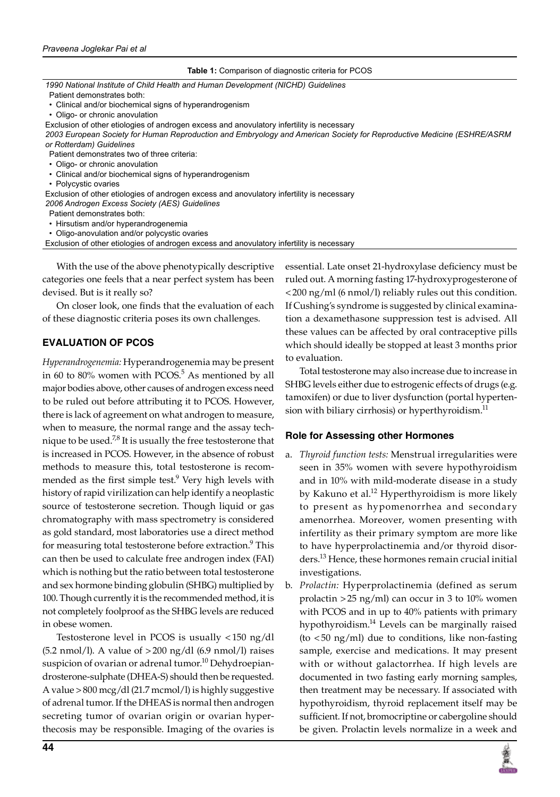#### **Table 1:** Comparison of diagnostic criteria for PCOS

| 1990 National Institute of Child Health and Human Development (NICHD) Guidelines                                       |
|------------------------------------------------------------------------------------------------------------------------|
| Patient demonstrates both:                                                                                             |
| • Clinical and/or biochemical signs of hyperandrogenism                                                                |
| • Oligo- or chronic anovulation                                                                                        |
| Exclusion of other etiologies of androgen excess and anovulatory infertility is necessary                              |
| 2003 European Society for Human Reproduction and Embryology and American Society for Reproductive Medicine (ESHRE/ASRM |
| or Rotterdam) Guidelines                                                                                               |
| Patient demonstrates two of three criteria:                                                                            |
| • Oligo- or chronic anovulation                                                                                        |
| • Clinical and/or biochemical signs of hyperandrogenism                                                                |
| • Polycystic ovaries                                                                                                   |
| Exclusion of other etiologies of androgen excess and anovulatory infertility is necessary                              |
| 2006 Androgen Excess Society (AES) Guidelines                                                                          |
| Patient demonstrates both:                                                                                             |
| • Hirsutism and/or hyperandrogenemia                                                                                   |
| • Oligo-anovulation and/or polycystic ovaries                                                                          |

• Oligo-anovulation and/or polycystic ovaries

Exclusion of other etiologies of androgen excess and anovulatory infertility is necessary

With the use of the above phenotypically descriptive categories one feels that a near perfect system has been devised. But is it really so?

On closer look, one finds that the evaluation of each of these diagnostic criteria poses its own challenges.

# **Evaluation of PCOS**

*Hyperandrogenemia:* Hyperandrogenemia may be present in 60 to 80% women with PCOS. $5$  As mentioned by all major bodies above, other causes of androgen excess need to be ruled out before attributing it to PCOS. However, there is lack of agreement on what androgen to measure, when to measure, the normal range and the assay technique to be used.<sup>7,8</sup> It is usually the free testosterone that is increased in PCOS. However, in the absence of robust methods to measure this, total testosterone is recommended as the first simple test.<sup>9</sup> Very high levels with history of rapid virilization can help identify a neoplastic source of testosterone secretion. Though liquid or gas chromatography with mass spectrometry is considered as gold standard, most laboratories use a direct method for measuring total testosterone before extraction.<sup>9</sup> This can then be used to calculate free androgen index (FAI) which is nothing but the ratio between total testosterone and sex hormone binding globulin (SHBG) multiplied by 100. Though currently it is the recommended method, it is not completely foolproof as the SHBG levels are reduced in obese women.

Testosterone level in PCOS is usually < 150 ng/dl  $(5.2 \text{ nmol/l})$ . A value of  $>200 \text{ ng/dl}$  (6.9 nmol/l) raises suspicion of ovarian or adrenal tumor.<sup>10</sup> Dehydroepiandrosterone-sulphate (DHEA-S) should then be requested. A value >800 mcg/dl (21.7 mcmol/l) is highly suggestive of adrenal tumor. If the DHEAS is normal then androgen secreting tumor of ovarian origin or ovarian hyperthecosis may be responsible. Imaging of the ovaries is

essential. Late onset 21-hydroxylase deficiency must be ruled out. A morning fasting 17-hydroxyprogesterone of <200 ng/ml (6 nmol/l) reliably rules out this condition. If Cushing's syndrome is suggested by clinical examination a dexamethasone suppression test is advised. All these values can be affected by oral contraceptive pills which should ideally be stopped at least 3 months prior to evaluation.

Total testosterone may also increase due to increase in SHBG levels either due to estrogenic effects of drugs (e.g. tamoxifen) or due to liver dysfunction (portal hypertension with biliary cirrhosis) or hyperthyroidism. $^{11}$ 

#### **Role for Assessing other Hormones**

- a. *Thyroid function tests:* Menstrual irregularities were seen in 35% women with severe hypothyroidism and in 10% with mild-moderate disease in a study by Kakuno et al.<sup>12</sup> Hyperthyroidism is more likely to present as hypomenorrhea and secondary amenorrhea. Moreover, women presenting with infertility as their primary symptom are more like to have hyperprolactinemia and/or thyroid disorders.13 Hence, these hormones remain crucial initial investigations.
- b. *Prolactin:* Hyperprolactinemia (defined as serum prolactin >25 ng/ml) can occur in 3 to 10% women with PCOS and in up to 40% patients with primary hypothyroidism.14 Levels can be marginally raised (to <50 ng/ml) due to conditions, like non-fasting sample, exercise and medications. It may present with or without galactorrhea. If high levels are documented in two fasting early morning samples, then treatment may be necessary. If associated with hypothyroidism, thyroid replacement itself may be sufficient. If not, bromocriptine or cabergoline should be given. Prolactin levels normalize in a week and

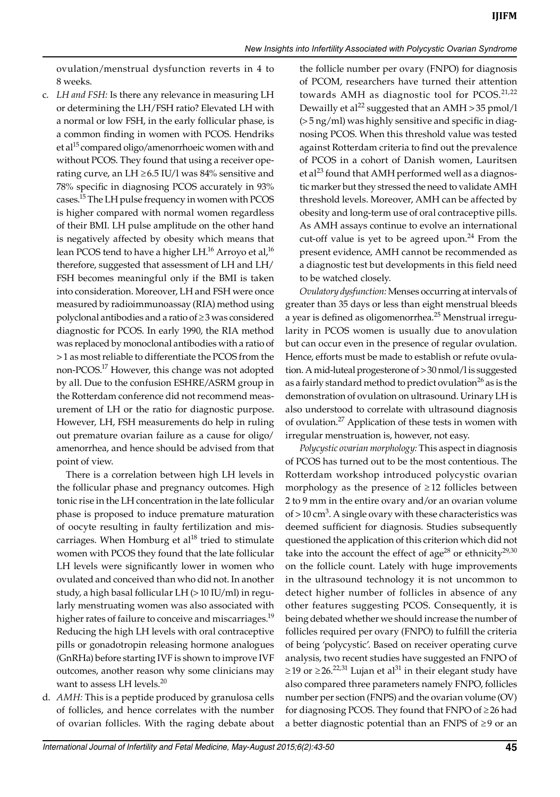ovulation/menstrual dysfunction reverts in 4 to 8 weeks.

c. *LH and FSH:* Is there any relevance in measuring LH or determining the LH/FSH ratio? Elevated LH with a normal or low FSH, in the early follicular phase, is a common finding in women with PCOS. Hendriks et al<sup>15</sup> compared oligo/amenorrhoeic women with and without PCOS. They found that using a receiver operating curve, an LH  $\geq$  6.5 IU/l was 84% sensitive and 78% specific in diagnosing PCOS accurately in 93% cases.<sup>15</sup> The LH pulse frequency in women with PCOS is higher compared with normal women regardless of their BMI. LH pulse amplitude on the other hand is negatively affected by obesity which means that lean PCOS tend to have a higher LH.<sup>16</sup> Arroyo et al,<sup>16</sup> therefore, suggested that assessment of LH and LH/ FSH becomes meaningful only if the BMI is taken into consideration. Moreover, LH and FSH were once measured by radioimmunoassay (RIA) method using polyclonal antibodies and a ratio of ≥3 was considered diagnostic for PCOS. In early 1990, the RIA method was replaced by monoclonal antibodies with a ratio of >1 as most reliable to differentiate the PCOS from the non-PCOS.17 However, this change was not adopted by all. Due to the confusion ESHRE/ASRM group in the Rotterdam conference did not recommend measurement of LH or the ratio for diagnostic purpose. However, LH, FSH measurements do help in ruling out premature ovarian failure as a cause for oligo/ amenorrhea, and hence should be advised from that point of view.

 There is a correlation between high LH levels in the follicular phase and pregnancy outcomes. High tonic rise in the LH concentration in the late follicular phase is proposed to induce premature maturation of oocyte resulting in faulty fertilization and miscarriages. When Homburg et  $al^{18}$  tried to stimulate women with PCOS they found that the late follicular LH levels were significantly lower in women who ovulated and conceived than who did not. In another study, a high basal follicular LH (>10 IU/ml) in regularly menstruating women was also associated with higher rates of failure to conceive and miscarriages.<sup>19</sup> Reducing the high LH levels with oral contraceptive pills or gonadotropin releasing hormone analogues (GnRHa) before starting IVF is shown to improve IVF outcomes, another reason why some clinicians may want to assess LH levels.<sup>20</sup>

d. *AMH:* This is a peptide produced by granulosa cells of follicles, and hence correlates with the number of ovarian follicles. With the raging debate about

the follicle number per ovary (FNPO) for diagnosis of PCOM, researchers have turned their attention towards AMH as diagnostic tool for PCOS.<sup>21,22</sup> Dewailly et al<sup>22</sup> suggested that an AMH > 35 pmol/l (>5 ng/ml) was highly sensitive and specific in diagnosing PCOS. When this threshold value was tested against Rotterdam criteria to find out the prevalence of PCOS in a cohort of Danish women, Lauritsen et al<sup>23</sup> found that AMH performed well as a diagnostic marker but they stressed the need to validate AMH threshold levels. Moreover, AMH can be affected by obesity and long-term use of oral contraceptive pills. As AMH assays continue to evolve an international cut-off value is yet to be agreed upon.<sup>24</sup> From the present evidence, AMH cannot be recommended as a diagnostic test but developments in this field need to be watched closely.

*Ovulatory dysfunction:* Menses occurring at intervals of greater than 35 days or less than eight menstrual bleeds a year is defined as oligomenorrhea.<sup>25</sup> Menstrual irregularity in PCOS women is usually due to anovulation but can occur even in the presence of regular ovulation. Hence, efforts must be made to establish or refute ovulation. A mid-luteal progesterone of >30 nmol/l is suggested as a fairly standard method to predict ovulation<sup>26</sup> as is the demonstration of ovulation on ultrasound. Urinary LH is also understood to correlate with ultrasound diagnosis of ovulation.27 Application of these tests in women with irregular menstruation is, however, not easy.

*Polycystic ovarian morphology:* This aspect in diagnosis of PCOS has turned out to be the most contentious. The Rotterdam workshop introduced polycystic ovarian morphology as the presence of  $\geq$ 12 follicles between 2 to 9 mm in the entire ovary and/or an ovarian volume of  $>$  10 cm<sup>3</sup>. A single ovary with these characteristics was deemed sufficient for diagnosis. Studies subsequently questioned the application of this criterion which did not take into the account the effect of age<sup>28</sup> or ethnicity<sup>29,30</sup> on the follicle count. Lately with huge improvements in the ultrasound technology it is not uncommon to detect higher number of follicles in absence of any other features suggesting PCOS. Consequently, it is being debated whether we should increase the number of follicles required per ovary (FNPO) to fulfill the criteria of being 'polycystic'. Based on receiver operating curve analysis, two recent studies have suggested an FNPO of ≥19 or ≥26.<sup>22,31</sup> Lujan et al<sup>31</sup> in their elegant study have also compared three parameters namely FNPO, follicles number per section (FNPS) and the ovarian volume (OV) for diagnosing PCOS. They found that FNPO of ≥ 26 had a better diagnostic potential than an FNPS of ≥ 9 or an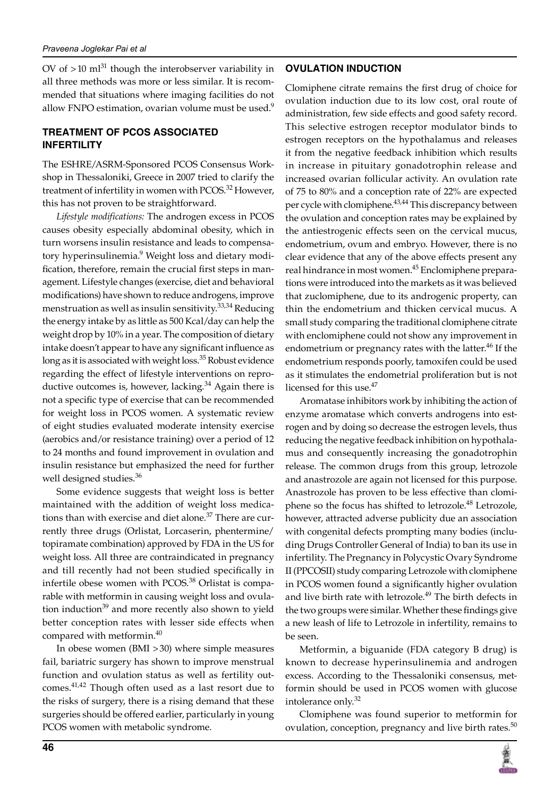OV of  $>10$  ml<sup>31</sup> though the interobserver variability in all three methods was more or less similar. It is recommended that situations where imaging facilities do not allow FNPO estimation, ovarian volume must be used. $9$ 

# **Treatment of PCOS associated Infertility**

The ESHRE/ASRM-Sponsored PCOS Consensus Workshop in Thessaloniki, Greece in 2007 tried to clarify the treatment of infertility in women with PCOS.<sup>32</sup> However, this has not proven to be straightforward.

*Lifestyle modifications:* The androgen excess in PCOS causes obesity especially abdominal obesity, which in turn worsens insulin resistance and leads to compensatory hyperinsulinemia.<sup>9</sup> Weight loss and dietary modification, therefore, remain the crucial first steps in management. Lifestyle changes (exercise, diet and behavioral modifications) have shown to reduce androgens, improve menstruation as well as insulin sensitivity. $33,34$  Reducing the energy intake by as little as 500 Kcal/day can help the weight drop by 10% in a year. The composition of dietary intake doesn't appear to have any significant influence as long as it is associated with weight loss.<sup>35</sup> Robust evidence regarding the effect of lifestyle interventions on reproductive outcomes is, however, lacking. $34$  Again there is not a specific type of exercise that can be recommended for weight loss in PCOS women. A systematic review of eight studies evaluated moderate intensity exercise (aerobics and/or resistance training) over a period of 12 to 24 months and found improvement in ovulation and insulin resistance but emphasized the need for further well designed studies.<sup>36</sup>

Some evidence suggests that weight loss is better maintained with the addition of weight loss medications than with exercise and diet alone.<sup>37</sup> There are currently three drugs (Orlistat, Lorcaserin, phentermine/ topiramate combination) approved by FDA in the US for weight loss. All three are contraindicated in pregnancy and till recently had not been studied specifically in infertile obese women with PCOS.<sup>38</sup> Orlistat is comparable with metformin in causing weight loss and ovulation induction<sup>39</sup> and more recently also shown to yield better conception rates with lesser side effects when compared with metformin.<sup>40</sup>

In obese women (BMI >30) where simple measures fail, bariatric surgery has shown to improve menstrual function and ovulation status as well as fertility outcomes.41,42 Though often used as a last resort due to the risks of surgery, there is a rising demand that these surgeries should be offered earlier, particularly in young PCOS women with metabolic syndrome.

# **Ovulation Induction**

Clomiphene citrate remains the first drug of choice for ovulation induction due to its low cost, oral route of administration, few side effects and good safety record. This selective estrogen receptor modulator binds to estrogen receptors on the hypothalamus and releases it from the negative feedback inhibition which results in increase in pituitary gonadotrophin release and increased ovarian follicular activity. An ovulation rate of 75 to 80% and a conception rate of 22% are expected per cycle with clomiphene.<sup>43,44</sup> This discrepancy between the ovulation and conception rates may be explained by the antiestrogenic effects seen on the cervical mucus, endometrium, ovum and embryo. However, there is no clear evidence that any of the above effects present any real hindrance in most women.<sup>45</sup> Enclomiphene preparations were introduced into the markets as it was believed that zuclomiphene, due to its androgenic property, can thin the endometrium and thicken cervical mucus. A small study comparing the traditional clomiphene citrate with enclomiphene could not show any improvement in endometrium or pregnancy rates with the latter.<sup>46</sup> If the endometrium responds poorly, tamoxifen could be used as it stimulates the endometrial proliferation but is not licensed for this use.<sup>47</sup>

Aromatase inhibitors work by inhibiting the action of enzyme aromatase which converts androgens into estrogen and by doing so decrease the estrogen levels, thus reducing the negative feedback inhibition on hypothalamus and consequently increasing the gonadotrophin release. The common drugs from this group, letrozole and anastrozole are again not licensed for this purpose. Anastrozole has proven to be less effective than clomiphene so the focus has shifted to letrozole.<sup>48</sup> Letrozole, however, attracted adverse publicity due an association with congenital defects prompting many bodies (including Drugs Controller General of India) to ban its use in infertility. The Pregnancy in Polycystic Ovary Syndrome II (PPCOSII) study comparing Letrozole with clomiphene in PCOS women found a significantly higher ovulation and live birth rate with letrozole.<sup>49</sup> The birth defects in the two groups were similar. Whether these findings give a new leash of life to Letrozole in infertility, remains to be seen.

Metformin, a biguanide (FDA category B drug) is known to decrease hyperinsulinemia and androgen excess. According to the Thessaloniki consensus, metformin should be used in PCOS women with glucose intolerance only.<sup>32</sup>

Clomiphene was found superior to metformin for ovulation, conception, pregnancy and live birth rates. $50$ 

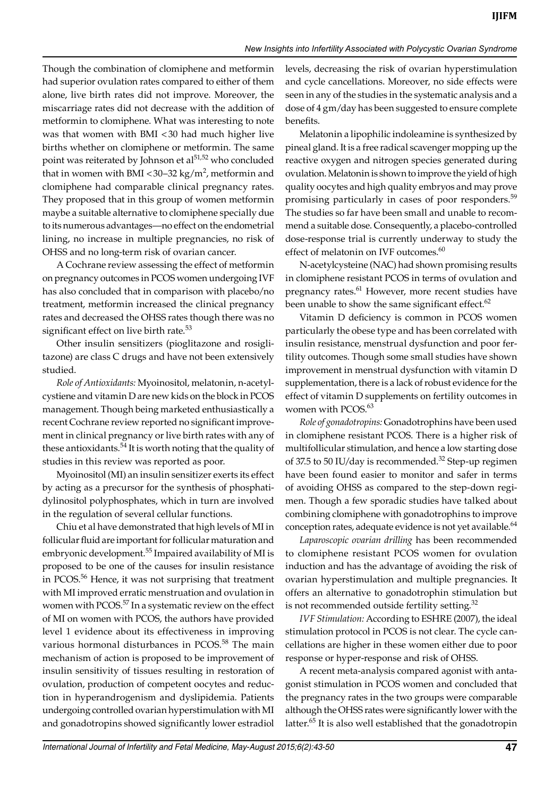Though the combination of clomiphene and metformin had superior ovulation rates compared to either of them alone, live birth rates did not improve. Moreover, the miscarriage rates did not decrease with the addition of metformin to clomiphene. What was interesting to note was that women with BMI <30 had much higher live births whether on clomiphene or metformin. The same point was reiterated by Johnson et al<sup>51,52</sup> who concluded that in women with BMI <30–32 kg/m<sup>2</sup>, metformin and clomiphene had comparable clinical pregnancy rates. They proposed that in this group of women metformin maybe a suitable alternative to clomiphene specially due to its numerous advantages—no effect on the endometrial lining, no increase in multiple pregnancies, no risk of OHSS and no long-term risk of ovarian cancer.

A Cochrane review assessing the effect of metformin on pregnancy outcomes in PCOS women undergoing IVF has also concluded that in comparison with placebo/no treatment, metformin increased the clinical pregnancy rates and decreased the OHSS rates though there was no significant effect on live birth rate.<sup>53</sup>

Other insulin sensitizers (pioglitazone and rosiglitazone) are class C drugs and have not been extensively studied.

*Role of Antioxidants:* Myoinositol, melatonin, n-acetylcystiene and vitamin D are new kids on the block in PCOS management. Though being marketed enthusiastically a recent Cochrane review reported no significant improvement in clinical pregnancy or live birth rates with any of these antioxidants.<sup>54</sup> It is worth noting that the quality of studies in this review was reported as poor.

Myoinositol (MI) an insulin sensitizer exerts its effect by acting as a precursor for the synthesis of phosphatidylinositol polyphosphates, which in turn are involved in the regulation of several cellular functions.

Chiu et al have demonstrated that high levels of MI in follicular fluid are important for follicular maturation and embryonic development.<sup>55</sup> Impaired availability of MI is proposed to be one of the causes for insulin resistance in PCOS.<sup>56</sup> Hence, it was not surprising that treatment with MI improved erratic menstruation and ovulation in women with PCOS.<sup>57</sup> In a systematic review on the effect of MI on women with PCOS, the authors have provided level 1 evidence about its effectiveness in improving various hormonal disturbances in PCOS.<sup>58</sup> The main mechanism of action is proposed to be improvement of insulin sensitivity of tissues resulting in restoration of ovulation, production of competent oocytes and reduction in hyperandrogenism and dyslipidemia. Patients undergoing controlled ovarian hyperstimulation with MI and gonadotropins showed significantly lower estradiol

levels, decreasing the risk of ovarian hyperstimulation and cycle cancellations. Moreover, no side effects were seen in any of the studies in the systematic analysis and a dose of 4 gm/day has been suggested to ensure complete benefits.

Melatonin a lipophilic indoleamine is synthesized by pineal gland. It is a free radical scavenger mopping up the reactive oxygen and nitrogen species generated during ovulation. Melatonin is shown to improve the yield of high quality oocytes and high quality embryos and may prove promising particularly in cases of poor responders.<sup>59</sup> The studies so far have been small and unable to recommend a suitable dose. Consequently, a placebo-controlled dose-response trial is currently underway to study the effect of melatonin on IVF outcomes.<sup>60</sup>

N-acetylcysteine (NAC) had shown promising results in clomiphene resistant PCOS in terms of ovulation and pregnancy rates.<sup>61</sup> However, more recent studies have been unable to show the same significant effect. $62$ 

Vitamin D deficiency is common in PCOS women particularly the obese type and has been correlated with insulin resistance, menstrual dysfunction and poor fertility outcomes. Though some small studies have shown improvement in menstrual dysfunction with vitamin D supplementation, there is a lack of robust evidence for the effect of vitamin D supplements on fertility outcomes in women with PCOS.<sup>63</sup>

*Role of gonadotropins:* Gonadotrophins have been used in clomiphene resistant PCOS. There is a higher risk of multifollicular stimulation, and hence a low starting dose of 37.5 to 50 IU/day is recommended.<sup>32</sup> Step-up regimen have been found easier to monitor and safer in terms of avoiding OHSS as compared to the step-down regimen. Though a few sporadic studies have talked about combining clomiphene with gonadotrophins to improve conception rates, adequate evidence is not yet available.<sup>64</sup>

*Laparoscopic ovarian drilling* has been recommended to clomiphene resistant PCOS women for ovulation induction and has the advantage of avoiding the risk of ovarian hyperstimulation and multiple pregnancies. It offers an alternative to gonadotrophin stimulation but is not recommended outside fertility setting. $32$ 

*IVF Stimulation:* According to ESHRE (2007), the ideal stimulation protocol in PCOS is not clear. The cycle cancellations are higher in these women either due to poor response or hyper-response and risk of OHSS.

A recent meta-analysis compared agonist with antagonist stimulation in PCOS women and concluded that the pregnancy rates in the two groups were comparable although the OHSS rates were significantly lower with the latter.<sup>65</sup> It is also well established that the gonadotropin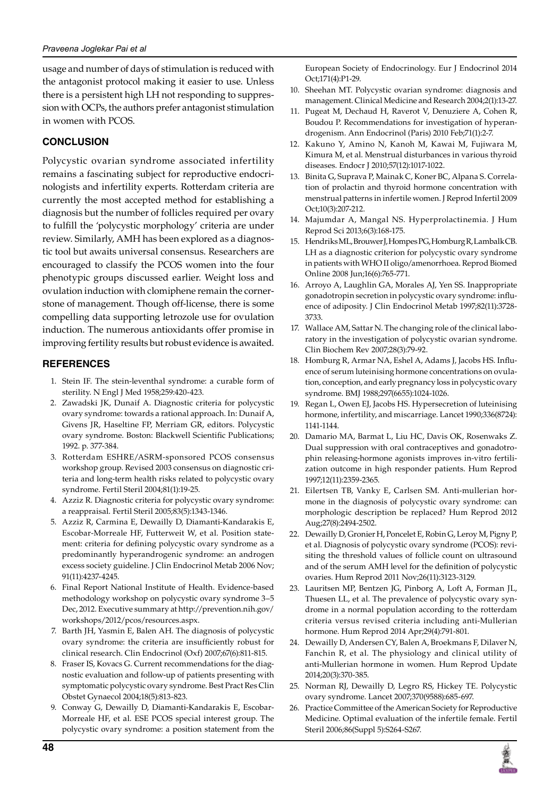usage and number of days of stimulation is reduced with the antagonist protocol making it easier to use. Unless there is a persistent high LH not responding to suppression with OCPs, the authors prefer antagonist stimulation in women with PCOS.

### **Conclusion**

Polycystic ovarian syndrome associated infertility remains a fascinating subject for reproductive endocrinologists and infertility experts. Rotterdam criteria are currently the most accepted method for establishing a diagnosis but the number of follicles required per ovary to fulfill the 'polycystic morphology' criteria are under review. Similarly, AMH has been explored as a diagnostic tool but awaits universal consensus. Researchers are encouraged to classify the PCOS women into the four phenotypic groups discussed earlier. Weight loss and ovulation induction with clomiphene remain the cornerstone of management. Though off-license, there is some compelling data supporting letrozole use for ovulation induction. The numerous antioxidants offer promise in improving fertility results but robust evidence is awaited.

#### **References**

- 1. Stein IF. The stein-leventhal syndrome: a curable form of sterility. N Engl J Med 1958;259:420-423.
- 2. Zawadski JK, Dunaif A. Diagnostic criteria for polycystic ovary syndrome: towards a rational approach. In: Dunaif A, Givens JR, Haseltine FP, Merriam GR, editors. Polycystic ovary syndrome. Boston: Blackwell Scientific Publications; 1992. p. 377-384.
- 3. Rotterdam ESHRE/ASRM-sponsored PCOS consensus workshop group. Revised 2003 consensus on diagnostic criteria and long-term health risks related to polycystic ovary syndrome. Fertil Steril 2004;81(1):19-25.
- 4. Azziz R. Diagnostic criteria for polycystic ovary syndrome: a reappraisal. Fertil Steril 2005;83(5):1343-1346.
- 5. Azziz R, Carmina E, Dewailly D, Diamanti-Kandarakis E, Escobar-Morreale HF, Futterweit W, et al. Position statement: criteria for defining polycystic ovary syndrome as a predominantly hyperandrogenic syndrome: an androgen excess society guideline. J Clin Endocrinol Metab 2006 Nov; 91(11):4237-4245.
- 6. Final Report National Institute of Health. Evidence-based methodology workshop on polycystic ovary syndrome 3–5 Dec, 2012. Executive summary at http://prevention.nih.gov/ workshops/2012/pcos/resources.aspx.
- 7. Barth JH, Yasmin E, Balen AH. The diagnosis of polycystic ovary syndrome: the criteria are insufficiently robust for clinical research. Clin Endocrinol (Oxf) 2007;67(6):811-815.
- 8. Fraser IS, Kovacs G. Current recommendations for the diagnostic evaluation and follow-up of patients presenting with symptomatic polycystic ovary syndrome. Best Pract Res Clin Obstet Gynaecol 2004;18(5):813-823.
- 9. Conway G, Dewailly D, Diamanti-Kandarakis E, Escobar-Morreale HF, et al. ESE PCOS special interest group. The polycystic ovary syndrome: a position statement from the

European Society of Endocrinology. Eur J Endocrinol 2014 Oct;171(4):P1-29.

- 10. Sheehan MT. Polycystic ovarian syndrome: diagnosis and management. Clinical Medicine and Research 2004;2(1):13-27.
- 11. Pugeat M, Dechaud H, Raverot V, Denuziere A, Cohen R, Boudou P. Recommendations for investigation of hyperandrogenism. Ann Endocrinol (Paris) 2010 Feb;71(1):2-7.
- 12. Kakuno Y, Amino N, Kanoh M, Kawai M, Fujiwara M, Kimura M, et al. Menstrual disturbances in various thyroid diseases. Endocr J 2010;57(12):1017-1022.
- 13. Binita G, Suprava P, Mainak C, Koner BC, Alpana S. Correlation of prolactin and thyroid hormone concentration with menstrual patterns in infertile women. J Reprod Infertil 2009 Oct;10(3):207-212.
- 14. Majumdar A, Mangal NS. Hyperprolactinemia. J Hum Reprod Sci 2013;6(3):168-175.
- 15. Hendriks ML, Brouwer J, Hompes PG, Homburg R, Lambalk CB. LH as a diagnostic criterion for polycystic ovary syndrome in patients with WHO II oligo/amenorrhoea. Reprod Biomed Online 2008 Jun;16(6):765-771.
- 16. Arroyo A, Laughlin GA, Morales AJ, Yen SS. Inappropriate gonadotropin secretion in polycystic ovary syndrome: influence of adiposity. J Clin Endocrinol Metab 1997;82(11):3728- 3733.
- 17. Wallace AM, Sattar N. The changing role of the clinical laboratory in the investigation of polycystic ovarian syndrome. Clin Biochem Rev 2007;28(3):79-92.
- 18. Homburg R, Armar NA, Eshel A, Adams J, Jacobs HS. Influence of serum luteinising hormone concentrations on ovulation, conception, and early pregnancy loss in polycystic ovary syndrome. BMJ 1988;297(6655):1024-1026.
- 19. Regan L, Owen EJ, Jacobs HS. Hypersecretion of luteinising hormone, infertility, and miscarriage. Lancet 1990;336(8724): 1141-1144.
- 20. Damario MA, Barmat L, Liu HC, Davis OK, Rosenwaks Z. Dual suppression with oral contraceptives and gonadotrophin releasing-hormone agonists improves in-vitro fertilization outcome in high responder patients. Hum Reprod 1997;12(11):2359-2365.
- 21. Eilertsen TB, Vanky E, Carlsen SM. Anti-mullerian hormone in the diagnosis of polycystic ovary syndrome: can morphologic description be replaced? Hum Reprod 2012 Aug;27(8):2494-2502.
- 22. Dewailly D, Gronier H, Poncelet E, Robin G, Leroy M, Pigny P, et al. Diagnosis of polycystic ovary syndrome (PCOS): revisiting the threshold values of follicle count on ultrasound and of the serum AMH level for the definition of polycystic ovaries. Hum Reprod 2011 Nov;26(11):3123-3129.
- 23. Lauritsen MP, Bentzen JG, Pinborg A, Loft A, Forman JL, Thuesen LL, et al. The prevalence of polycystic ovary syndrome in a normal population according to the rotterdam criteria versus revised criteria including anti-Mullerian hormone. Hum Reprod 2014 Apr;29(4):791-801.
- 24. Dewailly D, Andersen CY, Balen A, Broekmans F, Dilaver N, Fanchin R, et al. The physiology and clinical utility of anti-Mullerian hormone in women. Hum Reprod Update 2014;20(3):370-385.
- 25. Norman RJ, Dewailly D, Legro RS, Hickey TE. Polycystic ovary syndrome. Lancet 2007;370(9588):685-697.
- 26. Practice Committee of the American Society for Reproductive Medicine. Optimal evaluation of the infertile female. Fertil Steril 2006;86(Suppl 5):S264-S267.

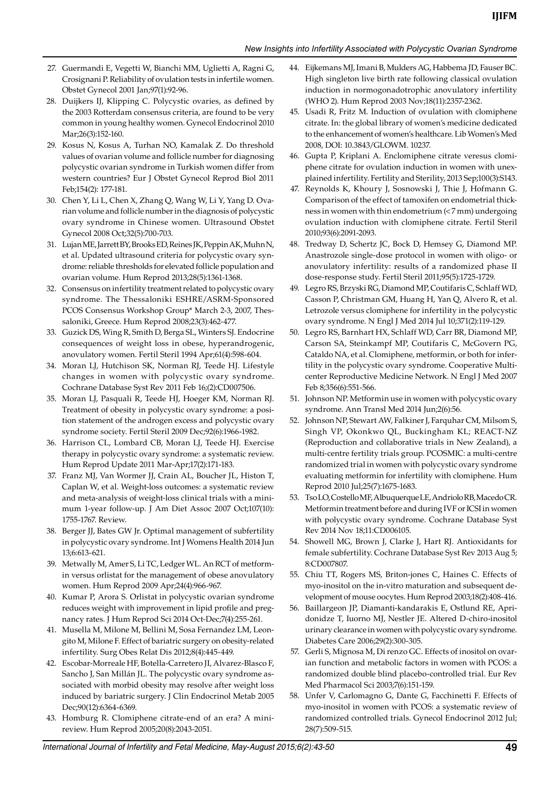- 27. Guermandi E, Vegetti W, Bianchi MM, Uglietti A, Ragni G, Crosignani P. Reliability of ovulation tests in infertile women. Obstet Gynecol 2001 Jan;97(1):92-96.
- 28. Duijkers IJ, Klipping C. Polycystic ovaries, as defined by the 2003 Rotterdam consensus criteria, are found to be very common in young healthy women. Gynecol Endocrinol 2010 Mar;26(3):152-160.
- 29. Kosus N, Kosus A, Turhan NO, Kamalak Z. Do threshold values of ovarian volume and follicle number for diagnosing polycystic ovarian syndrome in Turkish women differ from western countries? Eur J Obstet Gynecol Reprod Biol 2011 Feb;154(2): 177-181.
- 30. Chen Y, Li L, Chen X, Zhang Q, Wang W, Li Y, Yang D. Ovarian volume and follicle number in the diagnosis of polycystic ovary syndrome in Chinese women. Ultrasound Obstet Gynecol 2008 Oct;32(5):700-703.
- 31. Lujan ME, Jarrett BY, Brooks ED, Reines JK, Peppin AK, Muhn N, et al. Updated ultrasound criteria for polycystic ovary syndrome: reliable thresholds for elevated follicle population and ovarian volume. Hum Reprod 2013;28(5):1361-1368.
- 32. Consensus on infertility treatment related to polycystic ovary syndrome. The Thessaloniki ESHRE/ASRM-Sponsored PCOS Consensus Workshop Group\* March 2-3, 2007, Thessaloniki, Greece. Hum Reprod 2008;23(3):462-477.
- 33. Guzick DS, Wing R, Smith D, Berga SL, Winters SJ. Endocrine consequences of weight loss in obese, hyperandrogenic, anovulatory women. Fertil Steril 1994 Apr;61(4):598-604.
- 34. Moran LJ, Hutchison SK, Norman RJ, Teede HJ. Lifestyle changes in women with polycystic ovary syndrome. Cochrane Database Syst Rev 2011 Feb 16;(2):CD007506.
- 35. Moran LJ, Pasquali R, Teede HJ, Hoeger KM, Norman RJ. Treatment of obesity in polycystic ovary syndrome: a position statement of the androgen excess and polycystic ovary syndrome society. Fertil Steril 2009 Dec;92(6):1966-1982.
- 36. Harrison CL, Lombard CB, Moran LJ, Teede HJ. Exercise therapy in polycystic ovary syndrome: a systematic review. Hum Reprod Update 2011 Mar-Apr;17(2):171-183.
- 37. Franz MJ, Van Wormer JJ, Crain AL, Boucher JL, Histon T, Caplan W, et al. Weight-loss outcomes: a systematic review and meta-analysis of weight-loss clinical trials with a minimum 1-year follow-up. J Am Diet Assoc 2007 Oct;107(10): 1755-1767. Review.
- 38. Berger JJ, Bates GW Jr. Optimal management of subfertility in polycystic ovary syndrome. Int J Womens Health 2014 Jun 13;6:613-621.
- 39. Metwally M, Amer S, Li TC, Ledger WL. An RCT of metformin versus orlistat for the management of obese anovulatory women. Hum Reprod 2009 Apr;24(4):966-967.
- 40. Kumar P, Arora S. Orlistat in polycystic ovarian syndrome reduces weight with improvement in lipid profile and pregnancy rates. J Hum Reprod Sci 2014 Oct-Dec;7(4):255-261.
- 41. Musella M, Milone M, Bellini M, Sosa Fernandez LM, Leongito M, Milone F. Effect of bariatric surgery on obesity-related infertility. Surg Obes Relat Dis 2012;8(4):445-449.
- 42. Escobar-Morreale HF, Botella-Carretero JI, Alvarez-Blasco F, Sancho J, San Millán JL. The polycystic ovary syndrome associated with morbid obesity may resolve after weight loss induced by bariatric surgery. J Clin Endocrinol Metab 2005 Dec;90(12):6364-6369.
- 43. Homburg R. Clomiphene citrate-end of an era? A minireview. Hum Reprod 2005;20(8):2043-2051.
- 44. Eijkemans MJ, Imani B, Mulders AG, Habbema JD, Fauser BC. High singleton live birth rate following classical ovulation induction in normogonadotrophic anovulatory infertility (WHO 2). Hum Reprod 2003 Nov;18(11):2357-2362.
- 45. Usadi R, Fritz M. Induction of ovulation with clomiphene citrate. In: the global library of women's medicine dedicated to the enhancement of women's healthcare. Lib Women's Med 2008, DOI: 10.3843/GLOWM. 10237.
- 46. Gupta P, Kriplani A. Enclomiphene citrate veresus clomiphene citrate for ovulation induction in women with unexplained infertility. Fertility and Sterility, 2013 Sep;100(3):S143.
- 47. Reynolds K, Khoury J, Sosnowski J, Thie J, Hofmann G. Comparison of the effect of tamoxifen on endometrial thickness in women with thin endometrium (<7 mm) undergoing ovulation induction with clomiphene citrate. Fertil Steril 2010;93(6):2091-2093.
- 48. Tredway D, Schertz JC, Bock D, Hemsey G, Diamond MP. Anastrozole single-dose protocol in women with oligo- or anovulatory infertility: results of a randomized phase II dose-response study. Fertil Steril 2011;95(5):1725-1729.
- 49. Legro RS, Brzyski RG, Diamond MP, Coutifaris C, Schlaff WD, Casson P, Christman GM, Huang H, Yan Q, Alvero R, et al. Letrozole versus clomiphene for infertility in the polycystic ovary syndrome. N Engl J Med 2014 Jul 10;371(2):119-129.
- 50. Legro RS, Barnhart HX, Schlaff WD, Carr BR, Diamond MP, Carson SA, Steinkampf MP, Coutifaris C, McGovern PG, Cataldo NA, et al. Clomiphene, metformin, or both for infertility in the polycystic ovary syndrome. Cooperative Multicenter Reproductive Medicine Network. N Engl J Med 2007 Feb 8;356(6):551-566.
- 51. Johnson NP. Metformin use in women with polycystic ovary syndrome. Ann Transl Med 2014 Jun;2(6):56.
- 52. Johnson NP, Stewart AW, Falkiner J, Farquhar CM, Milsom S, Singh VP, Okonkwo QL, Buckingham KL; REACT-NZ (Reproduction and collaborative trials in New Zealand), a multi-centre fertility trials group. PCOSMIC: a multi-centre randomized trial in women with polycystic ovary syndrome evaluating metformin for infertility with clomiphene. Hum Reprod 2010 Jul;25(7):1675-1683.
- 53. Tso LO, Costello MF, Albuquerque LE, Andriolo RB, Macedo CR. Metformin treatment before and during IVF or ICSI in women with polycystic ovary syndrome. Cochrane Database Syst Rev 2014 Nov 18;11:CD006105.
- 54. Showell MG, Brown J, Clarke J, Hart RJ. Antioxidants for female subfertility. Cochrane Database Syst Rev 2013 Aug 5; 8:CD007807.
- 55. Chiu TT, Rogers MS, Briton-jones C, Haines C. Effects of myo-inositol on the in-vitro maturation and subsequent development of mouse oocytes. Hum Reprod 2003;18(2):408-416.
- 56. Baillargeon JP, Diamanti-kandarakis E, Ostlund RE, Apridonidze T, Iuorno MJ, Nestler JE. Altered D-chiro-inositol urinary clearance in women with polycystic ovary syndrome. Diabetes Care 2006;29(2):300-305.
- 57. Gerli S, Mignosa M, Di renzo GC. Effects of inositol on ovarian function and metabolic factors in women with PCOS: a randomized double blind placebo-controlled trial. Eur Rev Med Pharmacol Sci 2003;7(6):151-159.
- 58. Unfer V, Carlomagno G, Dante G, Facchinetti F. Effects of myo-inositol in women with PCOS: a systematic review of randomized controlled trials. Gynecol Endocrinol 2012 Jul; 28(7):509-515.